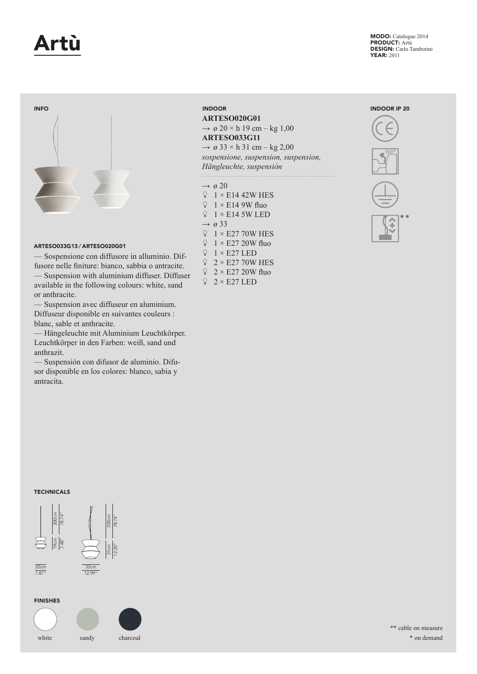

MODO: Catalogue 2014 PRODUCT: Artù DESIGN: Carlo Tamborini YEAR: 2011



# ARTESO033G13 ⁄ ARTESO020G01

— Sospensione con diffusore in alluminio. Diffusore nelle finiture: bianco, sabbia o antracite. — Suspension with aluminium diffuser. Diffuser

available in the following colours: white, sand or anthracite. — Suspension avec diffuseur en aluminium.

Diffuseur disponible en suivantes couleurs : blanc, sable et anthracite.

— Hängeleuchte mit Aluminium Leuchtkörper. Leuchtkörper in den Farben: weiß, sand und anthrazit.

— Suspensión con difusor de aluminio. Difusor disponible en los colores: blanco, sabia y antracita.

# INDOOR

**ARTESO020G01**   $\rightarrow \emptyset$  20 × h 19 cm – kg 1,00 **ARTESO033G11**  $\rightarrow \varnothing$  33 × h 31 cm – kg 2,00 *sospensione, suspension, suspension, Hängleuchte, suspensión*

## $\rightarrow \emptyset$  20

 $\sqrt{2}$  1 × E14 42W HES  $\sqrt{2}$  1 × E14 9W fluo  $\sqrt{2}$  1 × E14 5W LED  $\rightarrow \varnothing$  33  $\begin{array}{cc}\n\bigcirc & 1 \times E2770W \text{ HES} \\
\bigcirc & 1 \times E2720W \text{ flu}\n\end{array}$  $1 \times E27$  20W fluo  $\sqrt{2}$  1 × E27 LED  $\sqrt{2} \times$  E27 70W HES  $\sqrt{2} \times$  E27 20W fluo  $\sqrt{2} \times E27$  LED





FINISHES

7.87" 12.99" 20cm 33cm



\*\* cable on measure \* on demand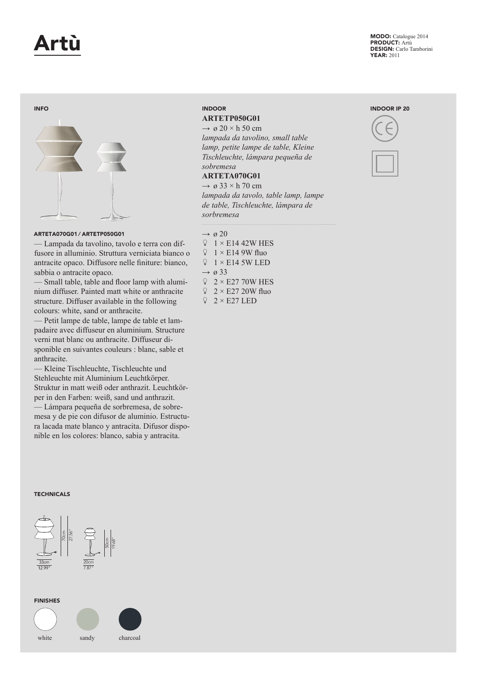

MODO: Catalogue 2014 PRODUCT: Artù DESIGN: Carlo Tamborini YEAR: 2011

### INFO



### ARTETA070G01 ⁄ ARTETP050G01

— Lampada da tavolino, tavolo e terra con diffusore in alluminio. Struttura verniciata bianco o antracite opaco. Diffusore nelle finiture: bianco, sabbia o antracite opaco.

— Small table, table and floor lamp with aluminium diffuser. Painted matt white or anthracite structure. Diffuser available in the following colours: white, sand or anthracite.

— Petit lampe de table, lampe de table et lampadaire avec diffuseur en aluminium. Structure verni mat blanc ou anthracite. Diffuseur disponible en suivantes couleurs : blanc, sable et anthracite.

— Kleine Tischleuchte, Tischleuchte und Stehleuchte mit Aluminium Leuchtkörper. Struktur in matt weiß oder anthrazit. Leuchtkörper in den Farben: weiß, sand und anthrazit. — Lámpara pequeña de sorbremesa, de sobremesa y de pie con difusor de aluminio. Estructura lacada mate blanco y antracita. Difusor disponible en los colores: blanco, sabia y antracita.

### **TECHNICALS**



### FINISHES





# **ARTETP050G01**

 $\rightarrow \varnothing$  20 × h 50 cm *lampada da tavolino, small table lamp, petite lampe de table, Kleine Tischleuchte, lámpara pequeña de sobremesa* 

# **ARTETA070G01**

 $\rightarrow \varnothing$  33 × h 70 cm *lampada da tavolo, table lamp, lampe de table, Tischleuchte, lámpara de sorbremesa*

- $\rightarrow \emptyset$  20
- $\sqrt{2}$  1 × E14 42W HES
- $\sqrt{2}$  1 × E14 9W fluo
- $\sqrt{2}$  1 × E14 5W LED
- $\rightarrow \emptyset$  33
- $\sqrt{2}$  × E27 70W HES
- $\sqrt{2} \times$  E27 20W fluo
- $\sqrt{2} \times E27$  LED

## INDOOR IP 20